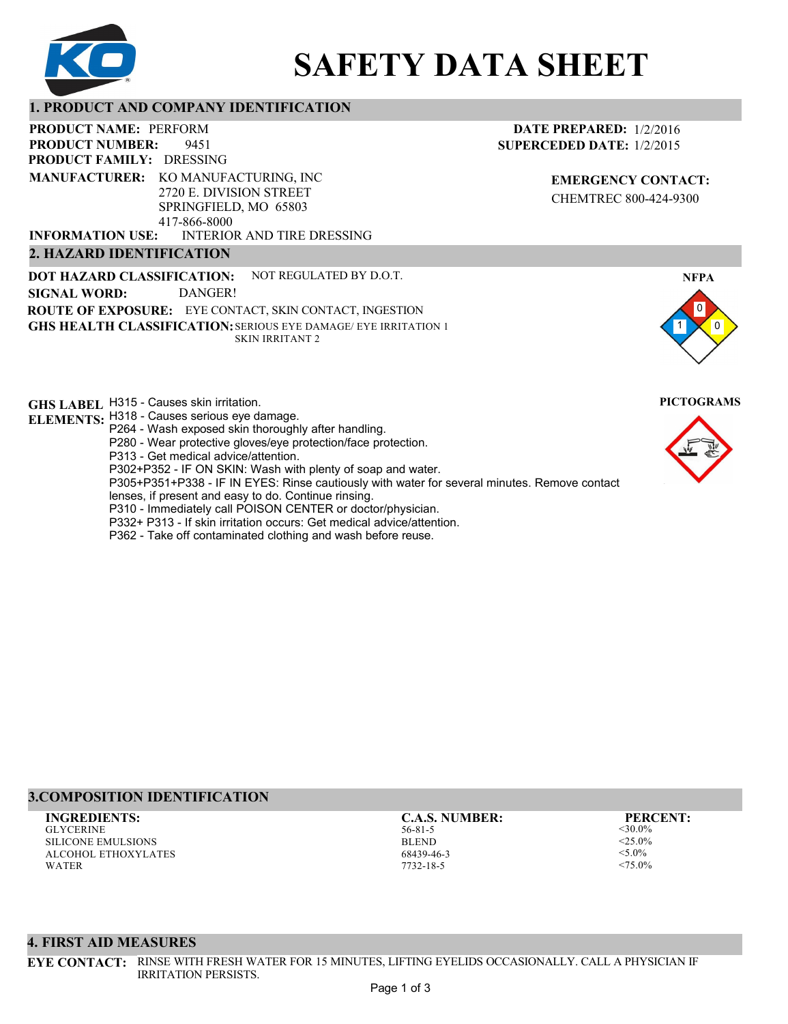

# **SAFETY DATA SHEET**

#### **1. PRODUCT AND COMPANY IDENTIFICATION**

9451 PRODUCT NAME: PERFORM **PRODUCT FAMILY: DRESSING** INTERIOR AND TIRE DRESSING **PRODUCT NUMBER: 2. HAZARD IDENTIFICATION MANUFACTURER:** KO MANUFACTURING, INC 2720 E. DIVISION STREET SPRINGFIELD, MO 65803 417-866-8000 **INFORMATION USE:**

**DOT HAZARD CLASSIFICATION: GHS HEALTH CLASSIFICATION:** SERIOUS EYE DAMAGE/ EYE IRRITATION 1 **ROUTE OF EXPOSURE:** EYE CONTACT, SKIN CONTACT, INGESTION NOT REGULATED BY D.O.T. SKIN IRRITANT 2 **SIGNAL WORD:** DANGER!

**GHS LABEL**  H315 - Causes skin irritation. **PICTOGRAMS**

- **ELEMENTS:** H318 Causes serious eye damage. P264 - Wash exposed skin thoroughly after handling.
	- P280 Wear protective gloves/eye protection/face protection.
	- P313 Get medical advice/attention.
	- P302+P352 IF ON SKIN: Wash with plenty of soap and water.

P305+P351+P338 - IF IN EYES: Rinse cautiously with water for several minutes. Remove contact

- lenses, if present and easy to do. Continue rinsing.
- P310 Immediately call POISON CENTER or doctor/physician.
- P332+ P313 If skin irritation occurs: Get medical advice/attention.
- P362 Take off contaminated clothing and wash before reuse.

#### **DATE PREPARED:** 1/2/2016 **SUPERCEDED DATE:** 1/2/2015

**EMERGENCY CONTACT:** CHEMTREC 800-424-9300





# **3.COMPOSITION IDENTIFICATION**

GLYCERINE SILICONE EMULSIONS ALCOHOL ETHOXYLATES WATER **INGREDIENTS: C.A.S. NUMBER: PERCENT:**

56-81-5 BLEND 68439-46-3 7732-18-5

<30.0%  $<$  25.0%  $< 5.0\%$  $< 75.0\%$ 

#### **4. FIRST AID MEASURES**

**EYE CONTACT:** RINSE WITH FRESH WATER FOR 15 MINUTES, LIFTING EYELIDS OCCASIONALLY. CALL A PHYSICIAN IF IRRITATION PERSISTS.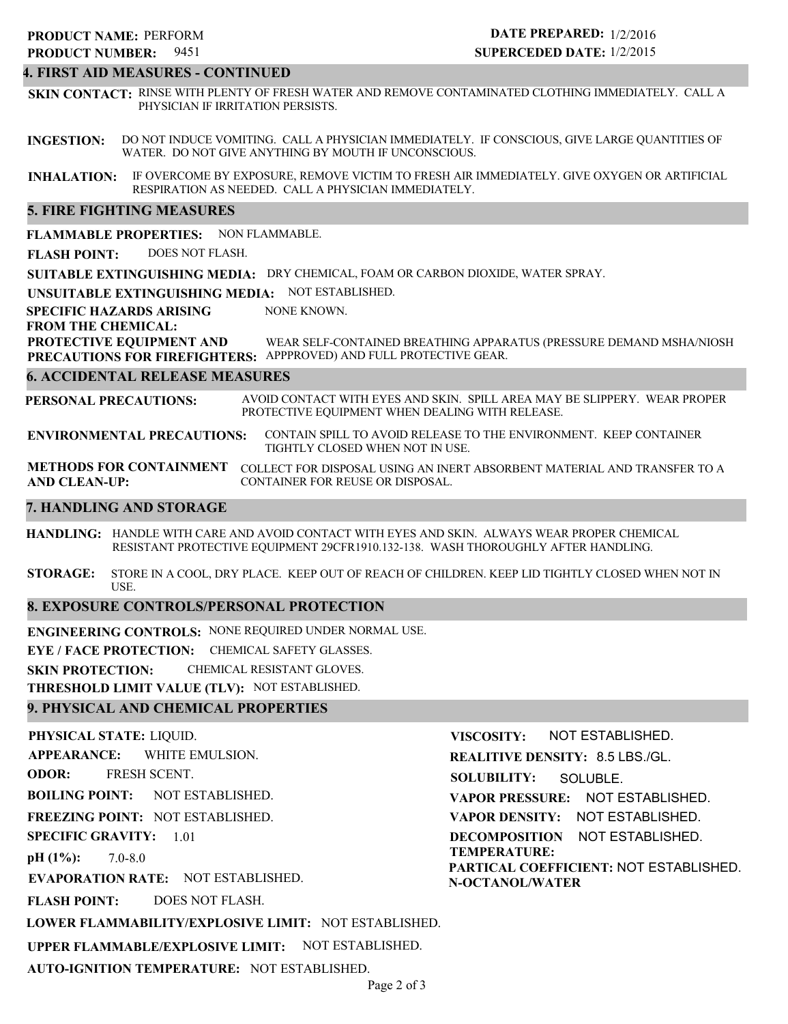# 9451 **PRODUCT NUMBER: PRODUCT NAME: PERFORM**

# **DATE PREPARED:** 1/2/2016 **SUPERCEDED DATE:** 1/2/2015

# **4. FIRST AID MEASURES - CONTINUED**

**SKIN CONTACT:** RINSE WITH PLENTY OF FRESH WATER AND REMOVE CONTAMINATED CLOTHING IMMEDIATELY. CALL A PHYSICIAN IF IRRITATION PERSISTS.

**INGESTION:** DO NOT INDUCE VOMITING. CALL A PHYSICIAN IMMEDIATELY. IF CONSCIOUS, GIVE LARGE QUANTITIES OF WATER. DO NOT GIVE ANYTHING BY MOUTH IF UNCONSCIOUS.

**INHALATION:** IF OVERCOME BY EXPOSURE, REMOVE VICTIM TO FRESH AIR IMMEDIATELY. GIVE OXYGEN OR ARTIFICIAL RESPIRATION AS NEEDED. CALL A PHYSICIAN IMMEDIATELY.

#### **5. FIRE FIGHTING MEASURES**

**FLAMMABLE PROPERTIES:** NON FLAMMABLE.

**FLASH POINT:** DOES NOT FLASH.

**SUITABLE EXTINGUISHING MEDIA:** DRY CHEMICAL, FOAM OR CARBON DIOXIDE, WATER SPRAY.

**UNSUITABLE EXTINGUISHING MEDIA:** NOT ESTABLISHED.

**SPECIFIC HAZARDS ARISING** NONE KNOWN.

#### **FROM THE CHEMICAL:**

**PROTECTIVE EQUIPMENT AND PRECAUTIONS FOR FIREFIGHTERS:** APPPROVED) AND FULL PROTECTIVE GEAR. WEAR SELF-CONTAINED BREATHING APPARATUS (PRESSURE DEMAND MSHA/NIOSH

#### **6. ACCIDENTAL RELEASE MEASURES**

**PERSONAL PRECAUTIONS:** AVOID CONTACT WITH EYES AND SKIN. SPILL AREA MAY BE SLIPPERY. WEAR PROPER PROTECTIVE EQUIPMENT WHEN DEALING WITH RELEASE.

**ENVIRONMENTAL PRECAUTIONS:** CONTAIN SPILL TO AVOID RELEASE TO THE ENVIRONMENT. KEEP CONTAINER TIGHTLY CLOSED WHEN NOT IN USE.

**METHODS FOR CONTAINMENT** COLLECT FOR DISPOSAL USING AN INERT ABSORBENT MATERIAL AND TRANSFER TO A **AND CLEAN-UP:** CONTAINER FOR REUSE OR DISPOSAL.

#### **7. HANDLING AND STORAGE**

**HANDLING:** HANDLE WITH CARE AND AVOID CONTACT WITH EYES AND SKIN. ALWAYS WEAR PROPER CHEMICAL RESISTANT PROTECTIVE EQUIPMENT 29CFR1910.132-138. WASH THOROUGHLY AFTER HANDLING.

**STORAGE:** STORE IN A COOL, DRY PLACE. KEEP OUT OF REACH OF CHILDREN. KEEP LID TIGHTLY CLOSED WHEN NOT IN USE.

#### **8. EXPOSURE CONTROLS/PERSONAL PROTECTION**

**ENGINEERING CONTROLS:** NONE REQUIRED UNDER NORMAL USE.

**EYE / FACE PROTECTION:** CHEMICAL SAFETY GLASSES.

**SKIN PROTECTION:** CHEMICAL RESISTANT GLOVES.

**THRESHOLD LIMIT VALUE (TLV):** NOT ESTABLISHED.

#### **9. PHYSICAL AND CHEMICAL PROPERTIES**

**PHYSICAL STATE:** LIQUID. **APPEARANCE: ODOR: BOILING POINT: FREEZING POINT:** NOT ESTABLISHED. **SPECIFIC GRAVITY:** 1.01 **pH (1%): EVAPORATION RATE:** NOT ESTABLISHED. **FLASH POINT: LOWER FLAMMABILITY/EXPLOSIVE LIMIT:** NOT ESTABLISHED. **UPPER FLAMMABLE/EXPLOSIVE LIMIT:** NOT ESTABLISHED. NOT ESTABLISHED. 7.0-8.0 DOES NOT FLASH. WHITE EMULSION. FRESH SCENT. **VISCOSITY: REALITIVE DENSITY:** 8.5 LBS./GL. **SOLUBILITY: VAPOR PRESSURE:** NOT ESTABLISHED. **VAPOR DENSITY:** NOT ESTABLISHED. **DECOMPOSITION** NOT ESTABLISHED. **TEMPERATURE: PARTICAL COEFFICIENT:** NOT ESTABLISHED. **N-OCTANOL/WATER** NOT ESTABLISHED. SOLUBLE.

**AUTO-IGNITION TEMPERATURE:** NOT ESTABLISHED.